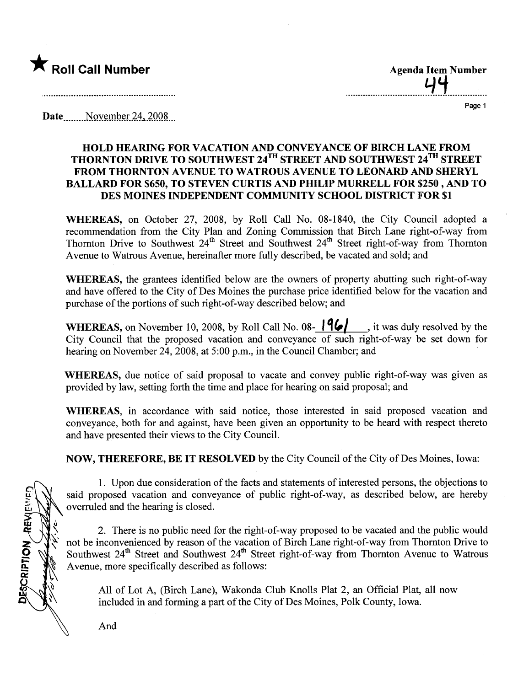

.\_\_\_\_..\_\_\_\_\_\_.\_.....\_\_....\_\_\_\_..'d.~.\_....\_..\_\_\_\_...

Page 1

**Date**  $\qquad$  November 24, 2008

## HOLD HEARING FOR VACATION AND CONVEYANCE OF BIRCH LANE FROM THORNTON DRIVE TO SOUTHWEST 24<sup>1H</sup> STREET AND SOUTHWEST 24<sup>1H</sup> STREET FROM THORNTON A VENUE TO WATROUS AVENUE TO LEONARD AND SHERYL BALLARD FOR \$650, TO STEVEN CURTIS AND PHILIP MURRLL FOR \$250 , AND TO DES MOINES INDEPENDENT COMMUNITY SCHOOL DISTRICT FOR \$1

WHEREAS, on October 27, 2008, by Roll Call No. 08-1840, the City Council adopted a recommendation from the City Plan and Zoning Commission that Birch Lane right-of-way from Thornton Drive to Southwest  $24<sup>th</sup>$  Street and Southwest  $24<sup>th</sup>$  Street right-of-way from Thornton Avenue to Watrous Avenue, hereinafter more fully described, be vacated and sold; and

WHEREAS, the grantees identified below are the owners of property abutting such right-of-way and have offered to the City of Des Moines the purchase price identified below for the vacation and purchase of the portions of such right-of-way described below; and

WHEREAS, on November 10, 2008, by Roll Call No. 08-  $\vert \mathbf{96} \vert$ , it was duly resolved by the City Council that the proposed vacation and conveyance of such right-of-way be set down for hearing on November 24,2008, at 5:00 p.m., in the Council Chamber; and

WHEREAS, due notice of said proposal to vacate and convey public right-of-way was given as provided by law, setting forth the time and place for hearng on said proposal; and

WHEREAS, in accordance with said notice, those interested in said proposed vacation and conveyance, both for and against, have been given an opportunity to be heard with respect thereto and have presented their views to the City CounciL.

NOW, THEREFORE, BE IT RESOLVED by the City Council of the City of Des Moines, Iowa:

1. Upon due consideration of the facts and statements of interested persons, the objections to said proposed vacation and conveyance of public right-of-way, as described below, are hereby overruled and the hearing is closed.

2. There is no public need for the right-of-way proposed to be vacated and the public would not be inconvenienced by reason of the vacation of Birch Lane right-of-way from Thornton Drive to Southwest 24<sup>th</sup> Street and Southwest 24<sup>th</sup> Street right-of-way from Thornton Avenue to Watrous Avenue, more specifically described as follows:

All of Lot A, (Birch Lane), Wakonda Club Knolls Plat 2, an Official Plat, all now included in and forming a part of the City of Des Moines, Polk County, Iowa.

**DESCRIPTION REWEWED** 

And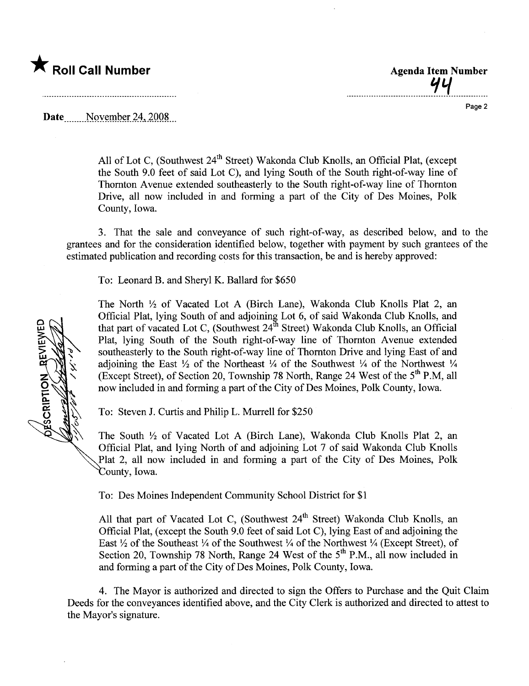

Page 2

. - - - - - \_.. - - \_.. - \_. - - - - - - - - - - - - - - - - - ': q \_. - - - - - - \_.. - \_.

Date \_\_\_\_\_ November 24, 2008

All of Lot C, (Southwest 24<sup>th</sup> Street) Wakonda Club Knolls, an Official Plat, (except the South 9.0 feet of said Lot C), and lying South of the South right-of-way line of Thornton Avenue extended southeasterly to the South right-of-way line of Thornton Drive, all now included in and forming a part of the City of Des Moines, Polk County, Iowa.

3. That the sale and conveyance of such right-of-way, as described below, and to the grantees and for the consideration identified below, together with payment by such grantees of the estimated publication and recording costs for this transaction, be and is hereby approved:

To: Leonard B. and Sheryl K. Ballard for \$650

The North  $\frac{1}{2}$  of Vacated Lot A (Birch Lane), Wakonda Club Knolls Plat 2, an Official Plat, lying South of and adjoining Lot 6, of said Wakonda Club Knolls, and that part of vacated Lot C, (Southwest  $24^{\text{th}}$  Street) Wakonda Club Knolls, an Official Plat, lying South of the South right-of-way line of Thornton Avenue extended southeasterly to the South right-of-way line of Thornton Drive and lying East of and adjoining the East  $\frac{1}{2}$  of the Northeast  $\frac{1}{4}$  of the Southwest  $\frac{1}{4}$  of the Northwest  $\frac{1}{4}$ (Except Street), of Section 20, Township 78 North, Range 24 West of the 5<sup>th</sup> P.M, all now included in and forming a part of the City of Des Moines, Polk County, Iowa.

To: Steven J. Curis and Philip L. Murrell for \$250

The South  $\frac{1}{2}$  of Vacated Lot A (Birch Lane), Wakonda Club Knolls Plat 2, an Official Plat, and lying North of and adjoining Lot 7 of said Wakonda Club Knolls Plat 2, all now included in and forming a part of the City of Des Moines, Polk County, Iowa.

To: Des Moines Independent Community School District for \$1

All that part of Vacated Lot C, (Southwest  $24<sup>th</sup>$  Street) Wakonda Club Knolls, an Official Plat, (except the South 9.0 feet of said Lot C), lying East of and adjoining the East  $\frac{1}{2}$  of the Southeast  $\frac{1}{4}$  of the Southwest  $\frac{1}{4}$  of the Northwest  $\frac{1}{4}$  (Except Street), of Section 20, Township 78 North, Range 24 West of the  $5<sup>th</sup>$  P.M., all now included in and forming a part of the City of Des Moines, Polk County, Iowa.

4. The Mayor is authorized and directed to sign the Offers to Purchase and the Quit Claim Deeds for the conveyances identified above, and the City Clerk is authorized and directed to attest to the Mayor's signature.

**REVIEWED** PSCRIPTION